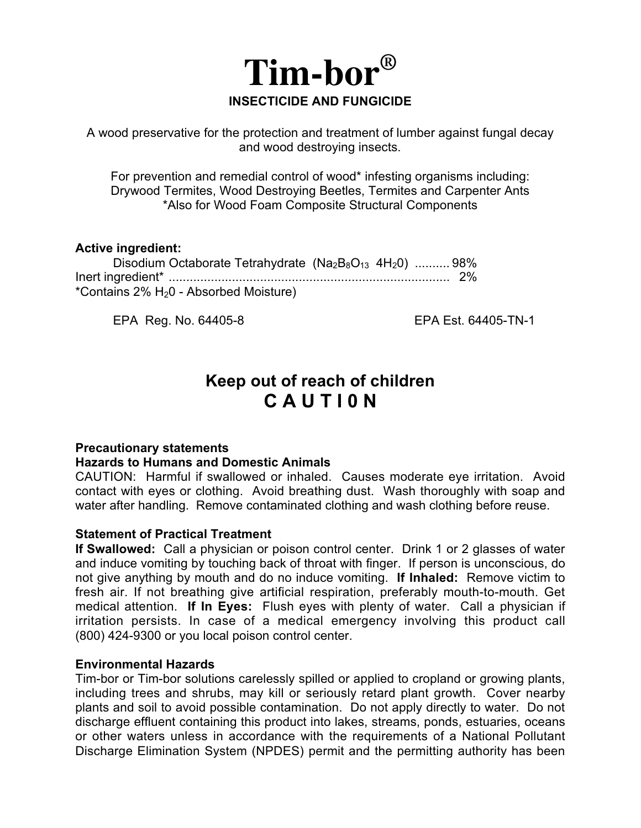

A wood preservative for the protection and treatment of lumber against fungal decay and wood destroying insects.

For prevention and remedial control of wood\* infesting organisms including: Drywood Termites, Wood Destroying Beetles, Termites and Carpenter Ants \*Also for Wood Foam Composite Structural Components

#### **Active ingredient:**

| Disodium Octaborate Tetrahydrate $(Na_2B_8O_{13} 4H_2O)$ 98% |  |
|--------------------------------------------------------------|--|
|                                                              |  |
| *Contains 2% H <sub>2</sub> 0 - Absorbed Moisture)           |  |

EPA Reg. No. 64405-8 EPA Est. 64405-TN-1

# **Keep out of reach of children C A U T I 0 N**

## **Precautionary statements**

## **Hazards to Humans and Domestic Animals**

CAUTION: Harmful if swallowed or inhaled. Causes moderate eye irritation. Avoid contact with eyes or clothing. Avoid breathing dust. Wash thoroughly with soap and water after handling. Remove contaminated clothing and wash clothing before reuse.

## **Statement of Practical Treatment**

**If Swallowed:** Call a physician or poison control center. Drink 1 or 2 glasses of water and induce vomiting by touching back of throat with finger. If person is unconscious, do not give anything by mouth and do no induce vomiting. **If Inhaled:** Remove victim to fresh air. If not breathing give artificial respiration, preferably mouth-to-mouth. Get medical attention. **If In Eyes:** Flush eyes with plenty of water. Call a physician if irritation persists. In case of a medical emergency involving this product call (800) 424-9300 or you local poison control center.

## **Environmental Hazards**

Tim-bor or Tim-bor solutions carelessly spilled or applied to cropland or growing plants, including trees and shrubs, may kill or seriously retard plant growth. Cover nearby plants and soil to avoid possible contamination. Do not apply directly to water. Do not discharge effluent containing this product into lakes, streams, ponds, estuaries, oceans or other waters unless in accordance with the requirements of a National Pollutant Discharge Elimination System (NPDES) permit and the permitting authority has been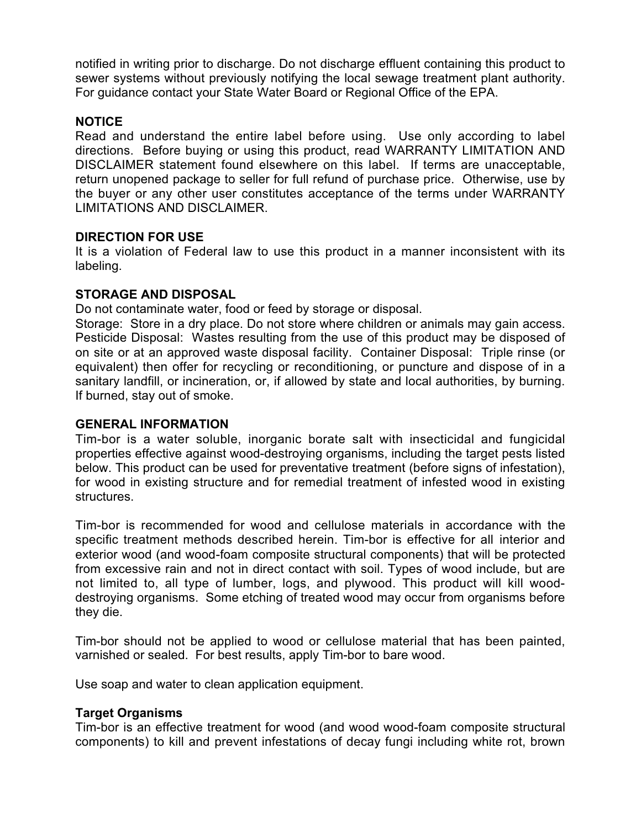notified in writing prior to discharge. Do not discharge effluent containing this product to sewer systems without previously notifying the local sewage treatment plant authority. For guidance contact your State Water Board or Regional Office of the EPA.

## **NOTICE**

Read and understand the entire label before using. Use only according to label directions. Before buying or using this product, read WARRANTY LIMITATION AND DISCLAIMER statement found elsewhere on this label. If terms are unacceptable, return unopened package to seller for full refund of purchase price. Otherwise, use by the buyer or any other user constitutes acceptance of the terms under WARRANTY LIMITATIONS AND DISCLAIMER.

## **DIRECTION FOR USE**

It is a violation of Federal law to use this product in a manner inconsistent with its labeling.

# **STORAGE AND DISPOSAL**

Do not contaminate water, food or feed by storage or disposal.

Storage: Store in a dry place. Do not store where children or animals may gain access. Pesticide Disposal: Wastes resulting from the use of this product may be disposed of on site or at an approved waste disposal facility. Container Disposal: Triple rinse (or equivalent) then offer for recycling or reconditioning, or puncture and dispose of in a sanitary landfill, or incineration, or, if allowed by state and local authorities, by burning. If burned, stay out of smoke.

## **GENERAL INFORMATION**

Tim-bor is a water soluble, inorganic borate salt with insecticidal and fungicidal properties effective against wood-destroying organisms, including the target pests listed below. This product can be used for preventative treatment (before signs of infestation), for wood in existing structure and for remedial treatment of infested wood in existing structures.

Tim-bor is recommended for wood and cellulose materials in accordance with the specific treatment methods described herein. Tim-bor is effective for all interior and exterior wood (and wood-foam composite structural components) that will be protected from excessive rain and not in direct contact with soil. Types of wood include, but are not limited to, all type of lumber, logs, and plywood. This product will kill wooddestroying organisms. Some etching of treated wood may occur from organisms before they die.

Tim-bor should not be applied to wood or cellulose material that has been painted, varnished or sealed. For best results, apply Tim-bor to bare wood.

Use soap and water to clean application equipment.

## **Target Organisms**

Tim-bor is an effective treatment for wood (and wood wood-foam composite structural components) to kill and prevent infestations of decay fungi including white rot, brown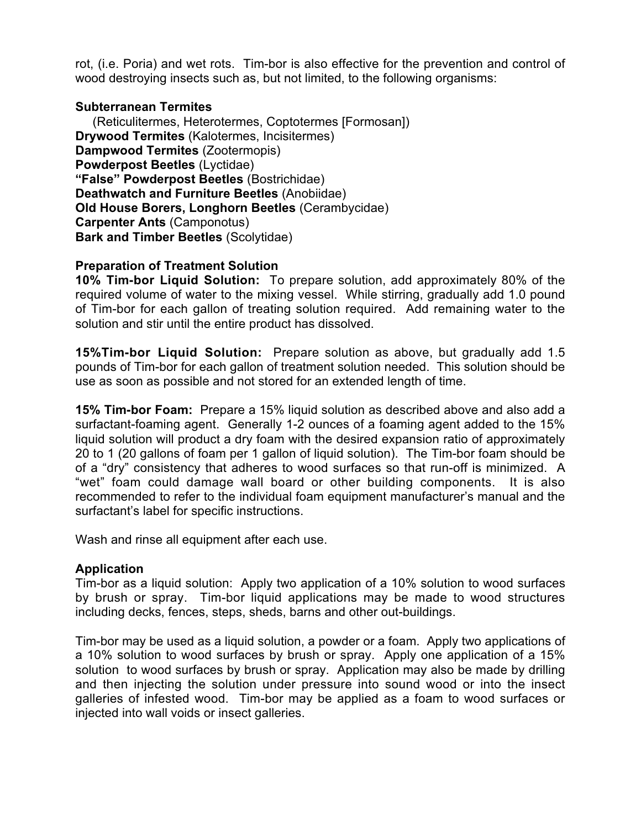rot, (i.e. Poria) and wet rots. Tim-bor is also effective for the prevention and control of wood destroying insects such as, but not limited, to the following organisms:

## **Subterranean Termites**

(Reticulitermes, Heterotermes, Coptotermes [Formosan]) **Drywood Termites** (Kalotermes, Incisitermes) **Dampwood Termites** (Zootermopis) **Powderpost Beetles** (Lyctidae) **"False" Powderpost Beetles** (Bostrichidae) **Deathwatch and Furniture Beetles** (Anobiidae) **Old House Borers, Longhorn Beetles** (Cerambycidae) **Carpenter Ants** (Camponotus) **Bark and Timber Beetles** (Scolytidae)

## **Preparation of Treatment Solution**

**10% Tim-bor Liquid Solution:** To prepare solution, add approximately 80% of the required volume of water to the mixing vessel. While stirring, gradually add 1.0 pound of Tim-bor for each gallon of treating solution required. Add remaining water to the solution and stir until the entire product has dissolved.

**15%Tim-bor Liquid Solution:** Prepare solution as above, but gradually add 1.5 pounds of Tim-bor for each gallon of treatment solution needed. This solution should be use as soon as possible and not stored for an extended length of time.

**15% Tim-bor Foam:** Prepare a 15% liquid solution as described above and also add a surfactant-foaming agent. Generally 1-2 ounces of a foaming agent added to the 15% liquid solution will product a dry foam with the desired expansion ratio of approximately 20 to 1 (20 gallons of foam per 1 gallon of liquid solution). The Tim-bor foam should be of a "dry" consistency that adheres to wood surfaces so that run-off is minimized. A "wet" foam could damage wall board or other building components. It is also recommended to refer to the individual foam equipment manufacturer's manual and the surfactant's label for specific instructions.

Wash and rinse all equipment after each use.

## **Application**

Tim-bor as a liquid solution: Apply two application of a 10% solution to wood surfaces by brush or spray. Tim-bor liquid applications may be made to wood structures including decks, fences, steps, sheds, barns and other out-buildings.

Tim-bor may be used as a liquid solution, a powder or a foam. Apply two applications of a 10% solution to wood surfaces by brush or spray. Apply one application of a 15% solution to wood surfaces by brush or spray. Application may also be made by drilling and then injecting the solution under pressure into sound wood or into the insect galleries of infested wood. Tim-bor may be applied as a foam to wood surfaces or injected into wall voids or insect galleries.